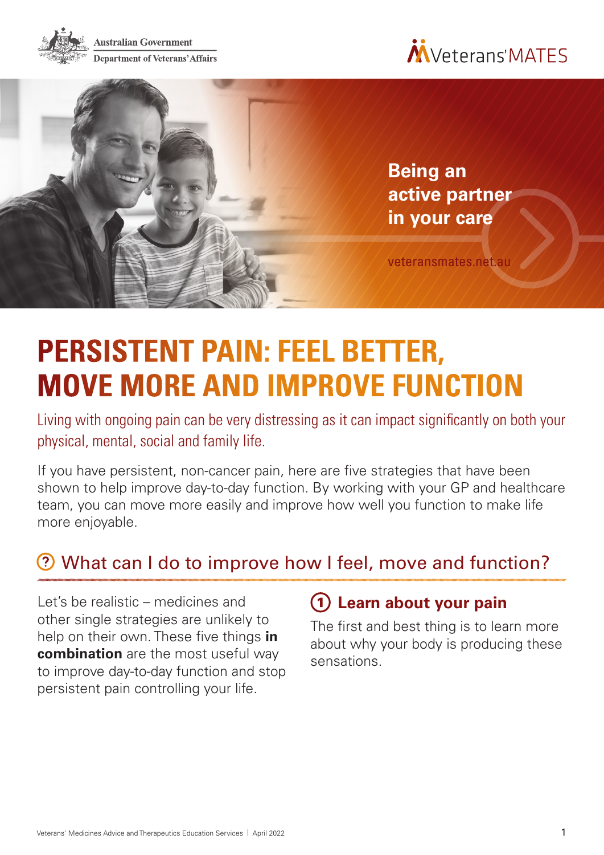





# **PERSISTENT PAIN: FEEL BETTER, MOVE MORE AND IMPROVE FUNCTION**

Living with ongoing pain can be very distressing as it can impact significantly on both your physical, mental, social and family life.

If you have persistent, non-cancer pain, here are five strategies that have been shown to help improve day-to-day function. By working with your GP and healthcare team, you can move more easily and improve how well you function to make life more enjoyable.

# What can I do to improve how I feel, move and function?

Let's be realistic – medicines and other single strategies are unlikely to help on their own. These five things **in combination** are the most useful way to improve day-to-day function and stop persistent pain controlling your life.

## **Learn about your pain**

The first and best thing is to learn more about why your body is producing these sensations.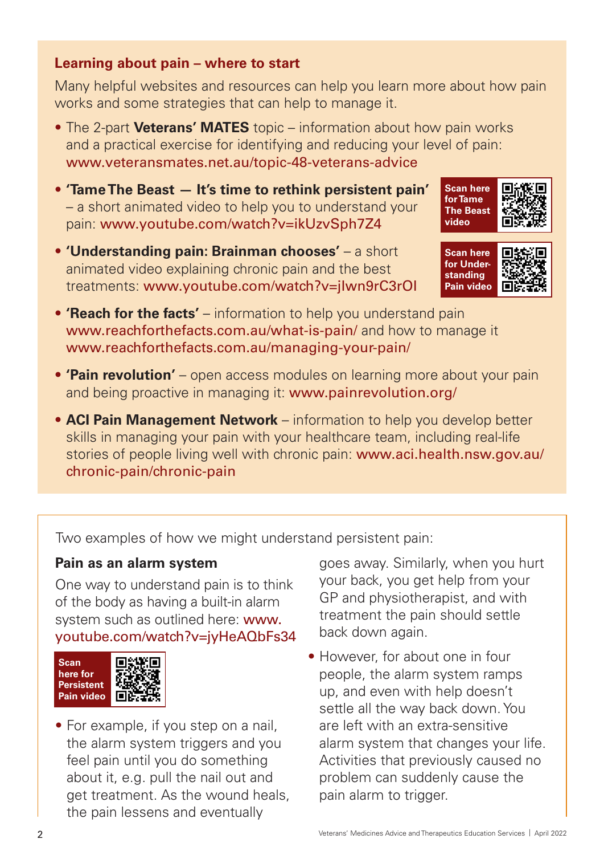#### **Learning about pain – where to start**

Many helpful websites and resources can help you learn more about how pain works and some strategies that can help to manage it.

- The 2-part **Veterans' MATES** topic information about how pain works and a practical exercise for identifying and reducing your level of pain: [www.veteransmates.net.au/topic-48-veterans-advice](http://www.veteransmates.net.au/topic-48-veterans-advice)
- **'Tame The Beast It's time to rethink persistent pain'** – a short animated video to help you to understand your pain: [www.youtube.com/watch?v=ikUzvSph7Z4](https://www.youtube.com/watch?v=ikUzvSph7Z4)
- **'Understanding pain: Brainman chooses'**  a short animated video explaining chronic pain and the best treatments: [www.youtube.com/watch?v=jIwn9rC3rOI](http://www.youtube.com/watch?v=jIwn9rC3rOI)





- **'Reach for the facts'** information to help you understand pain [www.reachforthefacts.com.au/what-is-pain/](https://reachforthefacts.com.au/what-is-pain/) and how to manage it [www.reachforthefacts.com.au/managing-your-pain/](https://reachforthefacts.com.au/managing-your-pain/)
- **'Pain revolution'**  open access modules on learning more about your pain and being proactive in managing it: [www.painrevolution.org/](http://www.painrevolution.org/)
- **ACI Pain Management Network** information to help you develop better skills in managing your pain with your healthcare team, including real-life stories of people living well with chronic pain: [www.aci.health.nsw.gov.au/](http://www.aci.health.nsw.gov.au/chronic-pain/chronic-pain) [chronic-pain/chronic-pain](http://www.aci.health.nsw.gov.au/chronic-pain/chronic-pain)

Two examples of how we might understand persistent pain:

#### **Pain as an alarm system**

One way to understand pain is to think of the body as having a built-in alarm system such as outlined here: [www.](http://www.youtube.com/watch?v=jyHeAQbFs34) [youtube.com/watch?v=jyHeAQbFs34](http://www.youtube.com/watch?v=jyHeAQbFs34)

| <b>Scan</b><br>here for<br><b>Persistent</b><br>Pain video | - 7<br>e e s |
|------------------------------------------------------------|--------------|
|------------------------------------------------------------|--------------|

• For example, if you step on a nail, the alarm system triggers and you feel pain until you do something about it, e.g. pull the nail out and get treatment. As the wound heals, the pain lessens and eventually

goes away. Similarly, when you hurt your back, you get help from your GP and physiotherapist, and with treatment the pain should settle back down again.

• However, for about one in four people, the alarm system ramps up, and even with help doesn't settle all the way back down. You are left with an extra-sensitive alarm system that changes your life. Activities that previously caused no problem can suddenly cause the pain alarm to trigger.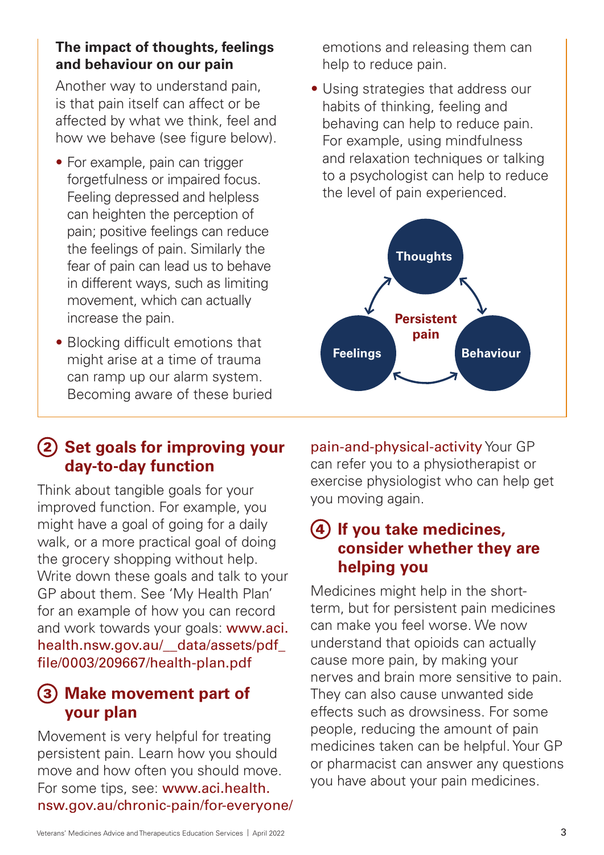#### **The impact of thoughts, feelings and behaviour on our pain**

Another way to understand pain, is that pain itself can affect or be affected by what we think, feel and how we behave (see figure below).

- For example, pain can trigger forgetfulness or impaired focus. Feeling depressed and helpless can heighten the perception of pain; positive feelings can reduce the feelings of pain. Similarly the fear of pain can lead us to behave in different ways, such as limiting movement, which can actually increase the pain.
- Blocking difficult emotions that might arise at a time of trauma can ramp up our alarm system. Becoming aware of these buried

### **(2) Set goals for improving your day-to-day function**

Think about tangible goals for your improved function. For example, you might have a goal of going for a daily walk, or a more practical goal of doing the grocery shopping without help. Write down these goals and talk to your GP about them. See 'My Health Plan' for an example of how you can record and work towards your goals: [www.aci.](http://www.aci.health.nsw.gov.au/__data/assets/pdf_file/0003/209667/health-plan.pdf) [health.nsw.gov.au/\\_\\_data/assets/pdf\\_](http://www.aci.health.nsw.gov.au/__data/assets/pdf_file/0003/209667/health-plan.pdf) [file/0003/209667/health-plan.pdf](http://www.aci.health.nsw.gov.au/__data/assets/pdf_file/0003/209667/health-plan.pdf)

#### **Make movement part of your plan**

Movement is very helpful for treating persistent pain. Learn how you should move and how often you should move. For some tips, see: [www.aci.health.](http://www.aci.health.nsw.gov.au/chronic-pain/for-everyone/pain-and-physical-activity) [nsw.gov.au/chronic-pain/for-everyone/](http://www.aci.health.nsw.gov.au/chronic-pain/for-everyone/pain-and-physical-activity) emotions and releasing them can help to reduce pain.

• Using strategies that address our habits of thinking, feeling and behaving can help to reduce pain. For example, using mindfulness and relaxation techniques or talking to a psychologist can help to reduce the level of pain experienced.



[pain-and-physical-activity](http://www.aci.health.nsw.gov.au/chronic-pain/for-everyone/pain-and-physical-activity) Your GP can refer you to a physiotherapist or exercise physiologist who can help get you moving again.

#### **If you take medicines, consider whether they are helping you**

Medicines might help in the shortterm, but for persistent pain medicines can make you feel worse. We now understand that opioids can actually cause more pain, by making your nerves and brain more sensitive to pain. They can also cause unwanted side effects such as drowsiness. For some people, reducing the amount of pain medicines taken can be helpful. Your GP or pharmacist can answer any questions you have about your pain medicines.